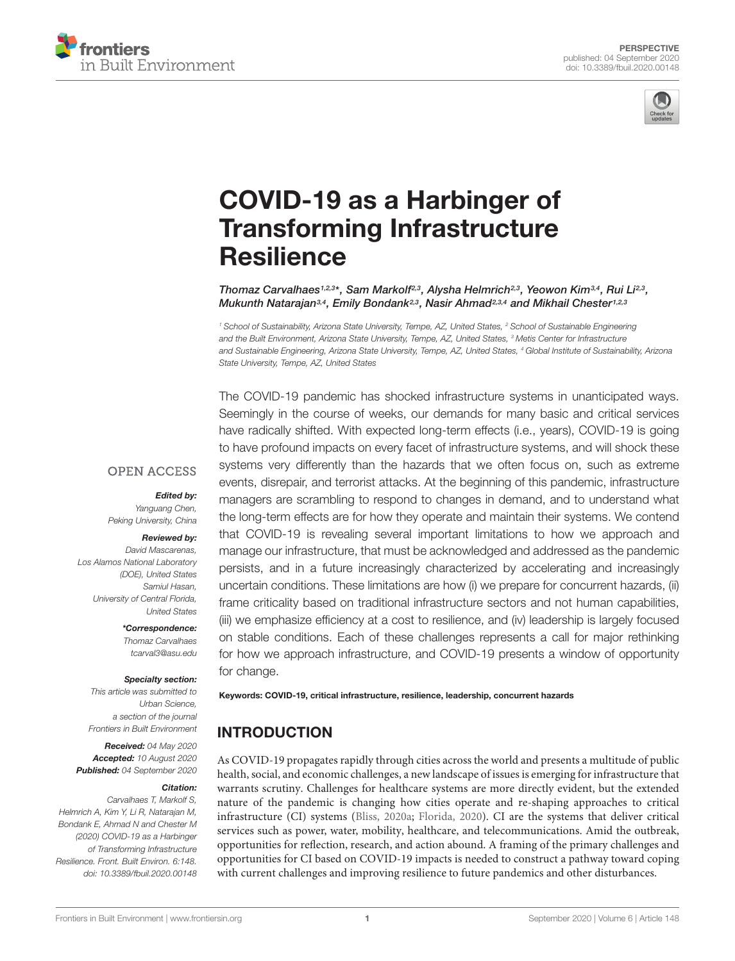



# COVID-19 as a Harbinger of [Transforming Infrastructure](https://www.frontiersin.org/articles/10.3389/fbuil.2020.00148/full) **Resilience**

Thomaz Carvalhaes<sup>1,2,3\*</sup>, Sam Markolf<sup>2,3</sup>, Alysha Helmrich<sup>2,3</sup>, Yeowon Kim<sup>3,4</sup>, Rui Li<sup>2,3</sup>, Mukunth Natarajan<sup>3,4</sup>, Emily Bondank<sup>2,3</sup>, Nasir Ahmad<sup>2,3,4</sup> and Mikhail Chester<sup>1,2,3</sup>

<sup>1</sup> School of Sustainability, Arizona State University, Tempe, AZ, United States, <sup>2</sup> School of Sustainable Engineering and the Built Environment, Arizona State University, Tempe, AZ, United States, <sup>3</sup> Metis Center for Infrastructure and Sustainable Engineering, Arizona State University, Tempe, AZ, United States, <sup>4</sup> Global Institute of Sustainability, Arizona State University, Tempe, AZ, United States

The COVID-19 pandemic has shocked infrastructure systems in unanticipated ways. Seemingly in the course of weeks, our demands for many basic and critical services have radically shifted. With expected long-term effects (i.e., years), COVID-19 is going to have profound impacts on every facet of infrastructure systems, and will shock these systems very differently than the hazards that we often focus on, such as extreme events, disrepair, and terrorist attacks. At the beginning of this pandemic, infrastructure managers are scrambling to respond to changes in demand, and to understand what the long-term effects are for how they operate and maintain their systems. We contend that COVID-19 is revealing several important limitations to how we approach and manage our infrastructure, that must be acknowledged and addressed as the pandemic persists, and in a future increasingly characterized by accelerating and increasingly uncertain conditions. These limitations are how (i) we prepare for concurrent hazards, (ii) frame criticality based on traditional infrastructure sectors and not human capabilities, (iii) we emphasize efficiency at a cost to resilience, and (iv) leadership is largely focused on stable conditions. Each of these challenges represents a call for major rethinking for how we approach infrastructure, and COVID-19 presents a window of opportunity for change.

#### **OPEN ACCESS**

#### Edited by:

Yanguang Chen, Peking University, China

#### Reviewed by:

David Mascarenas, Los Alamos National Laboratory (DOE), United States Samiul Hasan, University of Central Florida, United States

> \*Correspondence: Thomaz Carvalhaes tcarval3@asu.edu

#### Specialty section:

This article was submitted to Urban Science, a section of the journal Frontiers in Built Environment

Received: 04 May 2020 Accepted: 10 August 2020 Published: 04 September 2020

#### Citation:

Carvalhaes T, Markolf S, Helmrich A, Kim Y, Li R, Natarajan M, Bondank E, Ahmad N and Chester M (2020) COVID-19 as a Harbinger of Transforming Infrastructure Resilience. Front. Built Environ. 6:148. doi: [10.3389/fbuil.2020.00148](https://doi.org/10.3389/fbuil.2020.00148) Keywords: COVID-19, critical infrastructure, resilience, leadership, concurrent hazards

# INTRODUCTION

As COVID-19 propagates rapidly through cities across the world and presents a multitude of public health, social, and economic challenges, a new landscape of issues is emerging for infrastructure that warrants scrutiny. Challenges for healthcare systems are more directly evident, but the extended nature of the pandemic is changing how cities operate and re-shaping approaches to critical infrastructure (CI) systems [\(Bliss,](#page-5-0) [2020a;](#page-5-0) [Florida,](#page-6-0) [2020\)](#page-6-0). CI are the systems that deliver critical services such as power, water, mobility, healthcare, and telecommunications. Amid the outbreak, opportunities for reflection, research, and action abound. A framing of the primary challenges and opportunities for CI based on COVID-19 impacts is needed to construct a pathway toward coping with current challenges and improving resilience to future pandemics and other disturbances.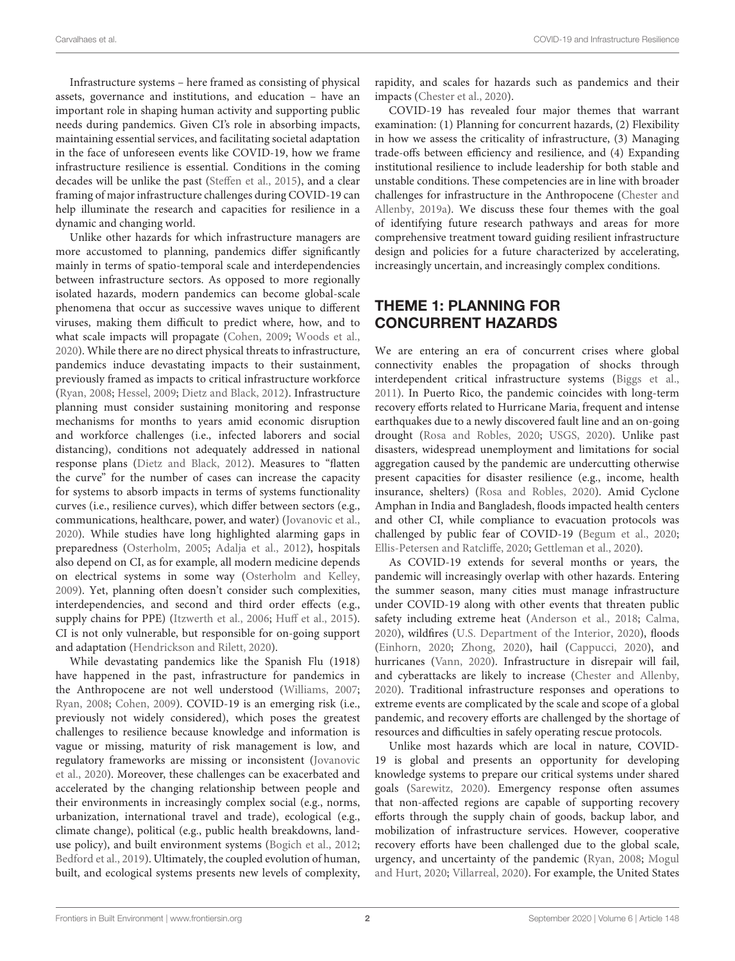Infrastructure systems – here framed as consisting of physical assets, governance and institutions, and education – have an important role in shaping human activity and supporting public needs during pandemics. Given CI's role in absorbing impacts, maintaining essential services, and facilitating societal adaptation in the face of unforeseen events like COVID-19, how we frame infrastructure resilience is essential. Conditions in the coming decades will be unlike the past [\(Steffen et al.,](#page-7-0) [2015\)](#page-7-0), and a clear framing of major infrastructure challenges during COVID-19 can help illuminate the research and capacities for resilience in a dynamic and changing world.

Unlike other hazards for which infrastructure managers are more accustomed to planning, pandemics differ significantly mainly in terms of spatio-temporal scale and interdependencies between infrastructure sectors. As opposed to more regionally isolated hazards, modern pandemics can become global-scale phenomena that occur as successive waves unique to different viruses, making them difficult to predict where, how, and to what scale impacts will propagate [\(Cohen,](#page-5-1) [2009;](#page-5-1) [Woods et al.,](#page-7-1) [2020\)](#page-7-1). While there are no direct physical threats to infrastructure, pandemics induce devastating impacts to their sustainment, previously framed as impacts to critical infrastructure workforce [\(Ryan,](#page-7-2) [2008;](#page-7-2) [Hessel,](#page-6-1) [2009;](#page-6-1) [Dietz and Black,](#page-5-2) [2012\)](#page-5-2). Infrastructure planning must consider sustaining monitoring and response mechanisms for months to years amid economic disruption and workforce challenges (i.e., infected laborers and social distancing), conditions not adequately addressed in national response plans [\(Dietz and Black,](#page-5-2) [2012\)](#page-5-2). Measures to "flatten the curve" for the number of cases can increase the capacity for systems to absorb impacts in terms of systems functionality curves (i.e., resilience curves), which differ between sectors (e.g., communications, healthcare, power, and water) [\(Jovanovic et al.,](#page-6-2) [2020\)](#page-6-2). While studies have long highlighted alarming gaps in preparedness [\(Osterholm,](#page-6-3) [2005;](#page-6-3) [Adalja et al.,](#page-5-3) [2012\)](#page-5-3), hospitals also depend on CI, as for example, all modern medicine depends on electrical systems in some way [\(Osterholm and Kelley,](#page-6-4) [2009\)](#page-6-4). Yet, planning often doesn't consider such complexities, interdependencies, and second and third order effects (e.g., supply chains for PPE) [\(Itzwerth et al.,](#page-6-5) [2006;](#page-6-5) [Huff et al.,](#page-6-6) [2015\)](#page-6-6). CI is not only vulnerable, but responsible for on-going support and adaptation [\(Hendrickson and Rilett,](#page-6-7) [2020\)](#page-6-7).

While devastating pandemics like the Spanish Flu (1918) have happened in the past, infrastructure for pandemics in the Anthropocene are not well understood [\(Williams,](#page-7-3) [2007;](#page-7-3) [Ryan,](#page-7-2) [2008;](#page-7-2) [Cohen,](#page-5-1) [2009\)](#page-5-1). COVID-19 is an emerging risk (i.e., previously not widely considered), which poses the greatest challenges to resilience because knowledge and information is vague or missing, maturity of risk management is low, and regulatory frameworks are missing or inconsistent [\(Jovanovic](#page-6-2) [et al.,](#page-6-2) [2020\)](#page-6-2). Moreover, these challenges can be exacerbated and accelerated by the changing relationship between people and their environments in increasingly complex social (e.g., norms, urbanization, international travel and trade), ecological (e.g., climate change), political (e.g., public health breakdowns, landuse policy), and built environment systems [\(Bogich et al.,](#page-5-4) [2012;](#page-5-4) [Bedford et al.,](#page-5-5) [2019\)](#page-5-5). Ultimately, the coupled evolution of human, built, and ecological systems presents new levels of complexity, rapidity, and scales for hazards such as pandemics and their impacts [\(Chester et al.,](#page-5-6) [2020\)](#page-5-6).

COVID-19 has revealed four major themes that warrant examination: (1) Planning for concurrent hazards, (2) Flexibility in how we assess the criticality of infrastructure, (3) Managing trade-offs between efficiency and resilience, and (4) Expanding institutional resilience to include leadership for both stable and unstable conditions. These competencies are in line with broader challenges for infrastructure in the Anthropocene [\(Chester and](#page-5-7) [Allenby,](#page-5-7) [2019a\)](#page-5-7). We discuss these four themes with the goal of identifying future research pathways and areas for more comprehensive treatment toward guiding resilient infrastructure design and policies for a future characterized by accelerating, increasingly uncertain, and increasingly complex conditions.

## THEME 1: PLANNING FOR CONCURRENT HAZARDS

We are entering an era of concurrent crises where global connectivity enables the propagation of shocks through interdependent critical infrastructure systems [\(Biggs et al.,](#page-5-8) [2011\)](#page-5-8). In Puerto Rico, the pandemic coincides with long-term recovery efforts related to Hurricane Maria, frequent and intense earthquakes due to a newly discovered fault line and an on-going drought [\(Rosa and Robles,](#page-6-8) [2020;](#page-6-8) [USGS,](#page-7-4) [2020\)](#page-7-4). Unlike past disasters, widespread unemployment and limitations for social aggregation caused by the pandemic are undercutting otherwise present capacities for disaster resilience (e.g., income, health insurance, shelters) [\(Rosa and Robles,](#page-6-8) [2020\)](#page-6-8). Amid Cyclone Amphan in India and Bangladesh, floods impacted health centers and other CI, while compliance to evacuation protocols was challenged by public fear of COVID-19 [\(Begum et al.,](#page-5-9) [2020;](#page-5-9) [Ellis-Petersen and Ratcliffe,](#page-6-9) [2020;](#page-6-9) [Gettleman et al.,](#page-6-10) [2020\)](#page-6-10).

As COVID-19 extends for several months or years, the pandemic will increasingly overlap with other hazards. Entering the summer season, many cities must manage infrastructure under COVID-19 along with other events that threaten public safety including extreme heat [\(Anderson et al.,](#page-5-10) [2018;](#page-5-10) [Calma,](#page-5-11) [2020\)](#page-5-11), wildfires [\(U.S. Department of the Interior,](#page-5-12) [2020\)](#page-5-12), floods [\(Einhorn,](#page-6-11) [2020;](#page-6-11) [Zhong,](#page-7-5) [2020\)](#page-7-5), hail [\(Cappucci,](#page-5-13) [2020\)](#page-5-13), and hurricanes [\(Vann,](#page-7-6) [2020\)](#page-7-6). Infrastructure in disrepair will fail, and cyberattacks are likely to increase [\(Chester and Allenby,](#page-5-14) [2020\)](#page-5-14). Traditional infrastructure responses and operations to extreme events are complicated by the scale and scope of a global pandemic, and recovery efforts are challenged by the shortage of resources and difficulties in safely operating rescue protocols.

Unlike most hazards which are local in nature, COVID-19 is global and presents an opportunity for developing knowledge systems to prepare our critical systems under shared goals [\(Sarewitz,](#page-7-7) [2020\)](#page-7-7). Emergency response often assumes that non-affected regions are capable of supporting recovery efforts through the supply chain of goods, backup labor, and mobilization of infrastructure services. However, cooperative recovery efforts have been challenged due to the global scale, urgency, and uncertainty of the pandemic [\(Ryan,](#page-7-2) [2008;](#page-7-2) [Mogul](#page-6-12) [and Hurt,](#page-6-12) [2020;](#page-6-12) [Villarreal,](#page-7-8) [2020\)](#page-7-8). For example, the United States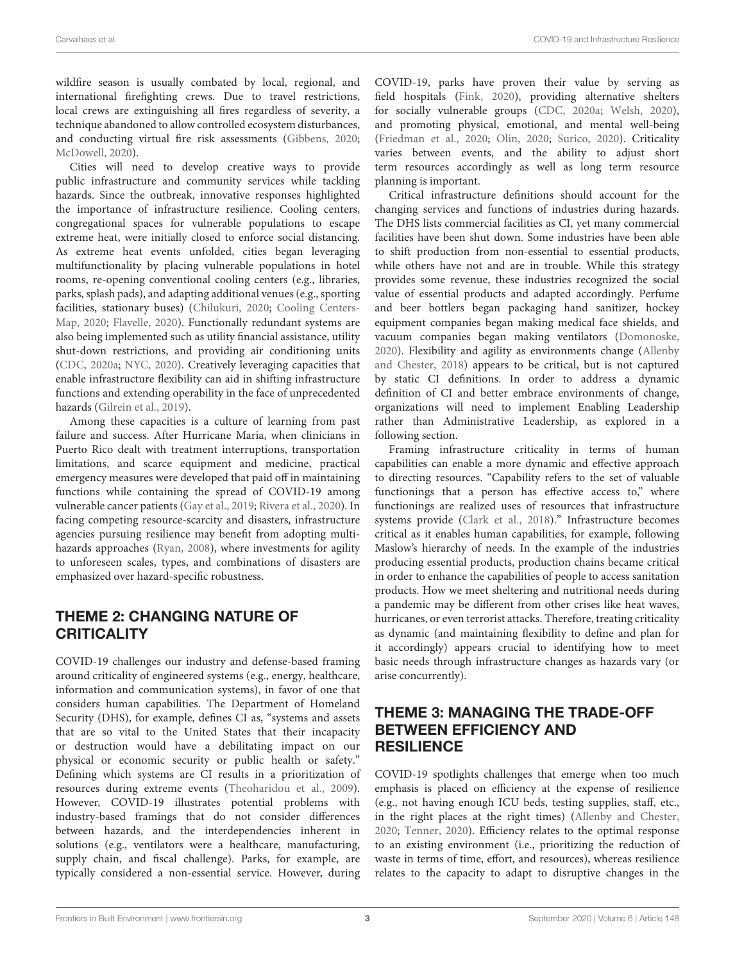wildfire season is usually combated by local, regional, and international firefighting crews. Due to travel restrictions, local crews are extinguishing all fires regardless of severity, a technique abandoned to allow controlled ecosystem disturbances, and conducting virtual fire risk assessments [\(Gibbens,](#page-6-13) [2020;](#page-6-13) [McDowell,](#page-6-14) [2020\)](#page-6-14).

Cities will need to develop creative ways to provide public infrastructure and community services while tackling hazards. Since the outbreak, innovative responses highlighted the importance of infrastructure resilience. Cooling centers, congregational spaces for vulnerable populations to escape extreme heat, were initially closed to enforce social distancing. As extreme heat events unfolded, cities began leveraging multifunctionality by placing vulnerable populations in hotel rooms, re-opening conventional cooling centers (e.g., libraries, parks, splash pads), and adapting additional venues (e.g., sporting facilities, stationary buses) [\(Chilukuri,](#page-5-15) [2020;](#page-5-15) [Cooling Centers-](#page-5-16)[Map,](#page-5-16) [2020;](#page-5-16) [Flavelle,](#page-6-15) [2020\)](#page-6-15). Functionally redundant systems are also being implemented such as utility financial assistance, utility shut-down restrictions, and providing air conditioning units [\(CDC,](#page-5-17) [2020a;](#page-5-17) [NYC,](#page-6-16) [2020\)](#page-6-16). Creatively leveraging capacities that enable infrastructure flexibility can aid in shifting infrastructure functions and extending operability in the face of unprecedented hazards [\(Gilrein et al.,](#page-6-17) [2019\)](#page-6-17).

Among these capacities is a culture of learning from past failure and success. After Hurricane Maria, when clinicians in Puerto Rico dealt with treatment interruptions, transportation limitations, and scarce equipment and medicine, practical emergency measures were developed that paid off in maintaining functions while containing the spread of COVID-19 among vulnerable cancer patients [\(Gay et al.,](#page-6-18) [2019;](#page-6-18) [Rivera et al.,](#page-6-19) [2020\)](#page-6-19). In facing competing resource-scarcity and disasters, infrastructure agencies pursuing resilience may benefit from adopting multihazards approaches [\(Ryan,](#page-7-2) [2008\)](#page-7-2), where investments for agility to unforeseen scales, types, and combinations of disasters are emphasized over hazard-specific robustness.

# THEME 2: CHANGING NATURE OF **CRITICALITY**

COVID-19 challenges our industry and defense-based framing around criticality of engineered systems (e.g., energy, healthcare, information and communication systems), in favor of one that considers human capabilities. The Department of Homeland Security (DHS), for example, defines CI as, "systems and assets that are so vital to the United States that their incapacity or destruction would have a debilitating impact on our physical or economic security or public health or safety." Defining which systems are CI results in a prioritization of resources during extreme events [\(Theoharidou et al.,](#page-7-9) [2009\)](#page-7-9). However, COVID-19 illustrates potential problems with industry-based framings that do not consider differences between hazards, and the interdependencies inherent in solutions (e.g., ventilators were a healthcare, manufacturing, supply chain, and fiscal challenge). Parks, for example, are typically considered a non-essential service. However, during COVID-19, parks have proven their value by serving as field hospitals [\(Fink,](#page-6-20) [2020\)](#page-6-20), providing alternative shelters for socially vulnerable groups [\(CDC,](#page-5-17) [2020a;](#page-5-17) [Welsh,](#page-7-10) [2020\)](#page-7-10), and promoting physical, emotional, and mental well-being [\(Friedman et al.,](#page-6-21) [2020;](#page-6-21) [Olin,](#page-6-22) [2020;](#page-6-22) [Surico,](#page-7-11) [2020\)](#page-7-11). Criticality varies between events, and the ability to adjust short term resources accordingly as well as long term resource planning is important.

Critical infrastructure definitions should account for the changing services and functions of industries during hazards. The DHS lists commercial facilities as CI, yet many commercial facilities have been shut down. Some industries have been able to shift production from non-essential to essential products, while others have not and are in trouble. While this strategy provides some revenue, these industries recognized the social value of essential products and adapted accordingly. Perfume and beer bottlers began packaging hand sanitizer, hockey equipment companies began making medical face shields, and vacuum companies began making ventilators [\(Domonoske,](#page-6-23) [2020\)](#page-6-23). Flexibility and agility as environments change [\(Allenby](#page-5-18) [and Chester,](#page-5-18) [2018\)](#page-5-18) appears to be critical, but is not captured by static CI definitions. In order to address a dynamic definition of CI and better embrace environments of change, organizations will need to implement Enabling Leadership rather than Administrative Leadership, as explored in a following section.

Framing infrastructure criticality in terms of human capabilities can enable a more dynamic and effective approach to directing resources. "Capability refers to the set of valuable functionings that a person has effective access to," where functionings are realized uses of resources that infrastructure systems provide [\(Clark et al.,](#page-5-19) [2018\)](#page-5-19)." Infrastructure becomes critical as it enables human capabilities, for example, following Maslow's hierarchy of needs. In the example of the industries producing essential products, production chains became critical in order to enhance the capabilities of people to access sanitation products. How we meet sheltering and nutritional needs during a pandemic may be different from other crises like heat waves, hurricanes, or even terrorist attacks. Therefore, treating criticality as dynamic (and maintaining flexibility to define and plan for it accordingly) appears crucial to identifying how to meet basic needs through infrastructure changes as hazards vary (or arise concurrently).

# THEME 3: MANAGING THE TRADE-OFF BETWEEN EFFICIENCY AND RESILIENCE

COVID-19 spotlights challenges that emerge when too much emphasis is placed on efficiency at the expense of resilience (e.g., not having enough ICU beds, testing supplies, staff, etc., in the right places at the right times) [\(Allenby and Chester,](#page-5-20) [2020;](#page-5-20) [Tenner,](#page-7-12) [2020\)](#page-7-12). Efficiency relates to the optimal response to an existing environment (i.e., prioritizing the reduction of waste in terms of time, effort, and resources), whereas resilience relates to the capacity to adapt to disruptive changes in the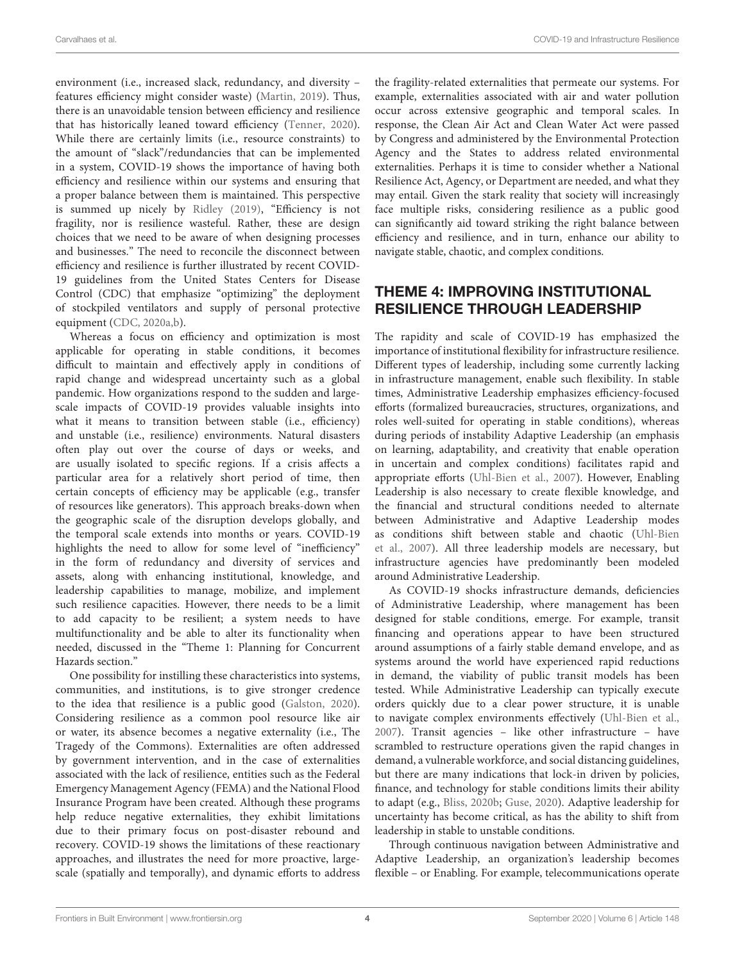environment (i.e., increased slack, redundancy, and diversity – features efficiency might consider waste) [\(Martin,](#page-6-24) [2019\)](#page-6-24). Thus, there is an unavoidable tension between efficiency and resilience that has historically leaned toward efficiency [\(Tenner,](#page-7-12) [2020\)](#page-7-12). While there are certainly limits (i.e., resource constraints) to the amount of "slack"/redundancies that can be implemented in a system, COVID-19 shows the importance of having both efficiency and resilience within our systems and ensuring that a proper balance between them is maintained. This perspective is summed up nicely by [Ridley](#page-6-25) [\(2019\)](#page-6-25), "Efficiency is not fragility, nor is resilience wasteful. Rather, these are design choices that we need to be aware of when designing processes and businesses." The need to reconcile the disconnect between efficiency and resilience is further illustrated by recent COVID-19 guidelines from the United States Centers for Disease Control (CDC) that emphasize "optimizing" the deployment of stockpiled ventilators and supply of personal protective equipment [\(CDC,](#page-5-17) [2020a](#page-5-17)[,b\)](#page-5-21).

Whereas a focus on efficiency and optimization is most applicable for operating in stable conditions, it becomes difficult to maintain and effectively apply in conditions of rapid change and widespread uncertainty such as a global pandemic. How organizations respond to the sudden and largescale impacts of COVID-19 provides valuable insights into what it means to transition between stable (i.e., efficiency) and unstable (i.e., resilience) environments. Natural disasters often play out over the course of days or weeks, and are usually isolated to specific regions. If a crisis affects a particular area for a relatively short period of time, then certain concepts of efficiency may be applicable (e.g., transfer of resources like generators). This approach breaks-down when the geographic scale of the disruption develops globally, and the temporal scale extends into months or years. COVID-19 highlights the need to allow for some level of "inefficiency" in the form of redundancy and diversity of services and assets, along with enhancing institutional, knowledge, and leadership capabilities to manage, mobilize, and implement such resilience capacities. However, there needs to be a limit to add capacity to be resilient; a system needs to have multifunctionality and be able to alter its functionality when needed, discussed in the "Theme 1: Planning for Concurrent Hazards section."

One possibility for instilling these characteristics into systems, communities, and institutions, is to give stronger credence to the idea that resilience is a public good [\(Galston,](#page-6-26) [2020\)](#page-6-26). Considering resilience as a common pool resource like air or water, its absence becomes a negative externality (i.e., The Tragedy of the Commons). Externalities are often addressed by government intervention, and in the case of externalities associated with the lack of resilience, entities such as the Federal Emergency Management Agency (FEMA) and the National Flood Insurance Program have been created. Although these programs help reduce negative externalities, they exhibit limitations due to their primary focus on post-disaster rebound and recovery. COVID-19 shows the limitations of these reactionary approaches, and illustrates the need for more proactive, largescale (spatially and temporally), and dynamic efforts to address

the fragility-related externalities that permeate our systems. For example, externalities associated with air and water pollution occur across extensive geographic and temporal scales. In response, the Clean Air Act and Clean Water Act were passed by Congress and administered by the Environmental Protection Agency and the States to address related environmental externalities. Perhaps it is time to consider whether a National Resilience Act, Agency, or Department are needed, and what they may entail. Given the stark reality that society will increasingly face multiple risks, considering resilience as a public good can significantly aid toward striking the right balance between efficiency and resilience, and in turn, enhance our ability to navigate stable, chaotic, and complex conditions.

# THEME 4: IMPROVING INSTITUTIONAL RESILIENCE THROUGH LEADERSHIP

The rapidity and scale of COVID-19 has emphasized the importance of institutional flexibility for infrastructure resilience. Different types of leadership, including some currently lacking in infrastructure management, enable such flexibility. In stable times, Administrative Leadership emphasizes efficiency-focused efforts (formalized bureaucracies, structures, organizations, and roles well-suited for operating in stable conditions), whereas during periods of instability Adaptive Leadership (an emphasis on learning, adaptability, and creativity that enable operation in uncertain and complex conditions) facilitates rapid and appropriate efforts [\(Uhl-Bien et al.,](#page-7-13) [2007\)](#page-7-13). However, Enabling Leadership is also necessary to create flexible knowledge, and the financial and structural conditions needed to alternate between Administrative and Adaptive Leadership modes as conditions shift between stable and chaotic [\(Uhl-Bien](#page-7-13) [et al.,](#page-7-13) [2007\)](#page-7-13). All three leadership models are necessary, but infrastructure agencies have predominantly been modeled around Administrative Leadership.

As COVID-19 shocks infrastructure demands, deficiencies of Administrative Leadership, where management has been designed for stable conditions, emerge. For example, transit financing and operations appear to have been structured around assumptions of a fairly stable demand envelope, and as systems around the world have experienced rapid reductions in demand, the viability of public transit models has been tested. While Administrative Leadership can typically execute orders quickly due to a clear power structure, it is unable to navigate complex environments effectively [\(Uhl-Bien et al.,](#page-7-13) [2007\)](#page-7-13). Transit agencies – like other infrastructure – have scrambled to restructure operations given the rapid changes in demand, a vulnerable workforce, and social distancing guidelines, but there are many indications that lock-in driven by policies, finance, and technology for stable conditions limits their ability to adapt (e.g., [Bliss,](#page-5-22) [2020b;](#page-5-22) [Guse,](#page-6-27) [2020\)](#page-6-27). Adaptive leadership for uncertainty has become critical, as has the ability to shift from leadership in stable to unstable conditions.

Through continuous navigation between Administrative and Adaptive Leadership, an organization's leadership becomes flexible – or Enabling. For example, telecommunications operate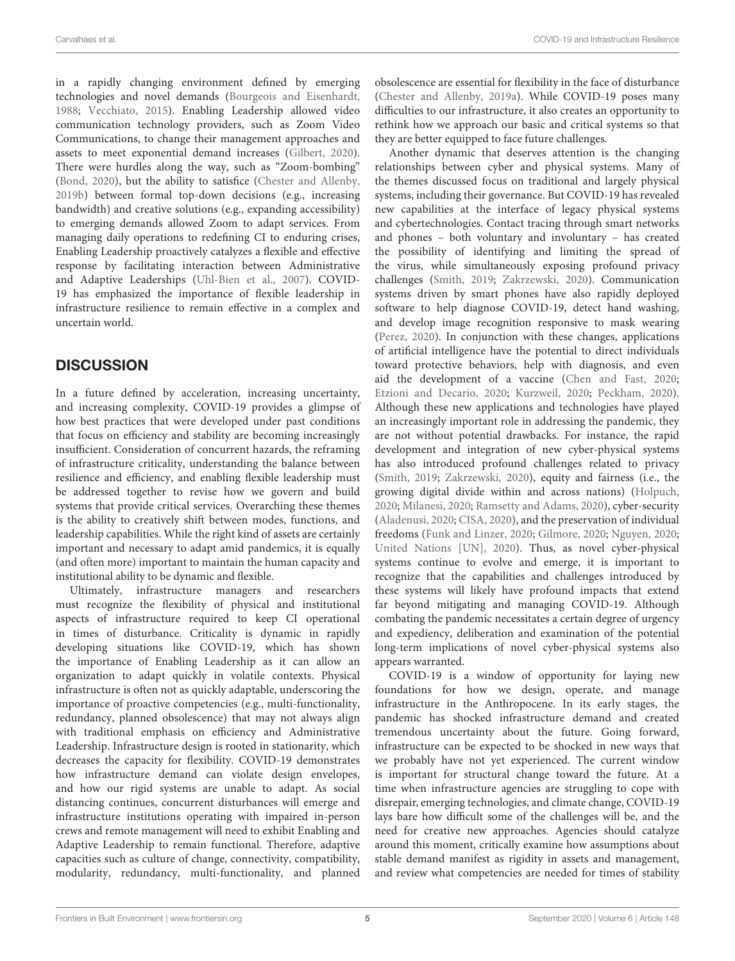in a rapidly changing environment defined by emerging technologies and novel demands [\(Bourgeois and Eisenhardt,](#page-5-23) [1988;](#page-5-23) [Vecchiato,](#page-7-14) [2015\)](#page-7-14). Enabling Leadership allowed video communication technology providers, such as Zoom Video Communications, to change their management approaches and assets to meet exponential demand increases [\(Gilbert,](#page-6-28) [2020\)](#page-6-28). There were hurdles along the way, such as "Zoom-bombing" [\(Bond,](#page-5-24) [2020\)](#page-5-24), but the ability to satisfice [\(Chester and Allenby,](#page-5-25) [2019b\)](#page-5-25) between formal top-down decisions (e.g., increasing bandwidth) and creative solutions (e.g., expanding accessibility) to emerging demands allowed Zoom to adapt services. From managing daily operations to redefining CI to enduring crises, Enabling Leadership proactively catalyzes a flexible and effective response by facilitating interaction between Administrative and Adaptive Leaderships [\(Uhl-Bien et al.,](#page-7-13) [2007\)](#page-7-13). COVID-19 has emphasized the importance of flexible leadership in infrastructure resilience to remain effective in a complex and uncertain world.

# **DISCUSSION**

In a future defined by acceleration, increasing uncertainty, and increasing complexity, COVID-19 provides a glimpse of how best practices that were developed under past conditions that focus on efficiency and stability are becoming increasingly insufficient. Consideration of concurrent hazards, the reframing of infrastructure criticality, understanding the balance between resilience and efficiency, and enabling flexible leadership must be addressed together to revise how we govern and build systems that provide critical services. Overarching these themes is the ability to creatively shift between modes, functions, and leadership capabilities. While the right kind of assets are certainly important and necessary to adapt amid pandemics, it is equally (and often more) important to maintain the human capacity and institutional ability to be dynamic and flexible.

Ultimately, infrastructure managers and researchers must recognize the flexibility of physical and institutional aspects of infrastructure required to keep CI operational in times of disturbance. Criticality is dynamic in rapidly developing situations like COVID-19, which has shown the importance of Enabling Leadership as it can allow an organization to adapt quickly in volatile contexts. Physical infrastructure is often not as quickly adaptable, underscoring the importance of proactive competencies (e.g., multi-functionality, redundancy, planned obsolescence) that may not always align with traditional emphasis on efficiency and Administrative Leadership. Infrastructure design is rooted in stationarity, which decreases the capacity for flexibility. COVID-19 demonstrates how infrastructure demand can violate design envelopes, and how our rigid systems are unable to adapt. As social distancing continues, concurrent disturbances will emerge and infrastructure institutions operating with impaired in-person crews and remote management will need to exhibit Enabling and Adaptive Leadership to remain functional. Therefore, adaptive capacities such as culture of change, connectivity, compatibility, modularity, redundancy, multi-functionality, and planned

obsolescence are essential for flexibility in the face of disturbance [\(Chester and Allenby,](#page-5-7) [2019a\)](#page-5-7). While COVID-19 poses many difficulties to our infrastructure, it also creates an opportunity to rethink how we approach our basic and critical systems so that they are better equipped to face future challenges.

Another dynamic that deserves attention is the changing relationships between cyber and physical systems. Many of the themes discussed focus on traditional and largely physical systems, including their governance. But COVID-19 has revealed new capabilities at the interface of legacy physical systems and cybertechnologies. Contact tracing through smart networks and phones – both voluntary and involuntary – has created the possibility of identifying and limiting the spread of the virus, while simultaneously exposing profound privacy challenges [\(Smith,](#page-7-15) [2019;](#page-7-15) [Zakrzewski,](#page-7-16) [2020\)](#page-7-16). Communication systems driven by smart phones have also rapidly deployed software to help diagnose COVID-19, detect hand washing, and develop image recognition responsive to mask wearing [\(Perez,](#page-6-29) [2020\)](#page-6-29). In conjunction with these changes, applications of artificial intelligence have the potential to direct individuals toward protective behaviors, help with diagnosis, and even aid the development of a vaccine [\(Chen and Fast,](#page-5-26) [2020;](#page-5-26) [Etzioni and Decario,](#page-6-30) [2020;](#page-6-30) [Kurzweil,](#page-6-31) [2020;](#page-6-31) [Peckham,](#page-6-32) [2020\)](#page-6-32). Although these new applications and technologies have played an increasingly important role in addressing the pandemic, they are not without potential drawbacks. For instance, the rapid development and integration of new cyber-physical systems has also introduced profound challenges related to privacy [\(Smith,](#page-7-15) [2019;](#page-7-15) [Zakrzewski,](#page-7-16) [2020\)](#page-7-16), equity and fairness (i.e., the growing digital divide within and across nations) [\(Holpuch,](#page-6-33) [2020;](#page-6-33) [Milanesi,](#page-6-34) [2020;](#page-6-34) [Ramsetty and Adams,](#page-6-35) [2020\)](#page-6-35), cyber-security [\(Aladenusi,](#page-5-27) [2020;](#page-5-27) [CISA,](#page-5-28) [2020\)](#page-5-28), and the preservation of individual freedoms [\(Funk and Linzer,](#page-6-36) [2020;](#page-6-36) [Gilmore,](#page-6-37) [2020;](#page-6-37) [Nguyen,](#page-6-38) [2020;](#page-6-38) [United Nations \[UN\],](#page-7-17) [2020\)](#page-7-17). Thus, as novel cyber-physical systems continue to evolve and emerge, it is important to recognize that the capabilities and challenges introduced by these systems will likely have profound impacts that extend far beyond mitigating and managing COVID-19. Although combating the pandemic necessitates a certain degree of urgency and expediency, deliberation and examination of the potential long-term implications of novel cyber-physical systems also appears warranted.

COVID-19 is a window of opportunity for laying new foundations for how we design, operate, and manage infrastructure in the Anthropocene. In its early stages, the pandemic has shocked infrastructure demand and created tremendous uncertainty about the future. Going forward, infrastructure can be expected to be shocked in new ways that we probably have not yet experienced. The current window is important for structural change toward the future. At a time when infrastructure agencies are struggling to cope with disrepair, emerging technologies, and climate change, COVID-19 lays bare how difficult some of the challenges will be, and the need for creative new approaches. Agencies should catalyze around this moment, critically examine how assumptions about stable demand manifest as rigidity in assets and management, and review what competencies are needed for times of stability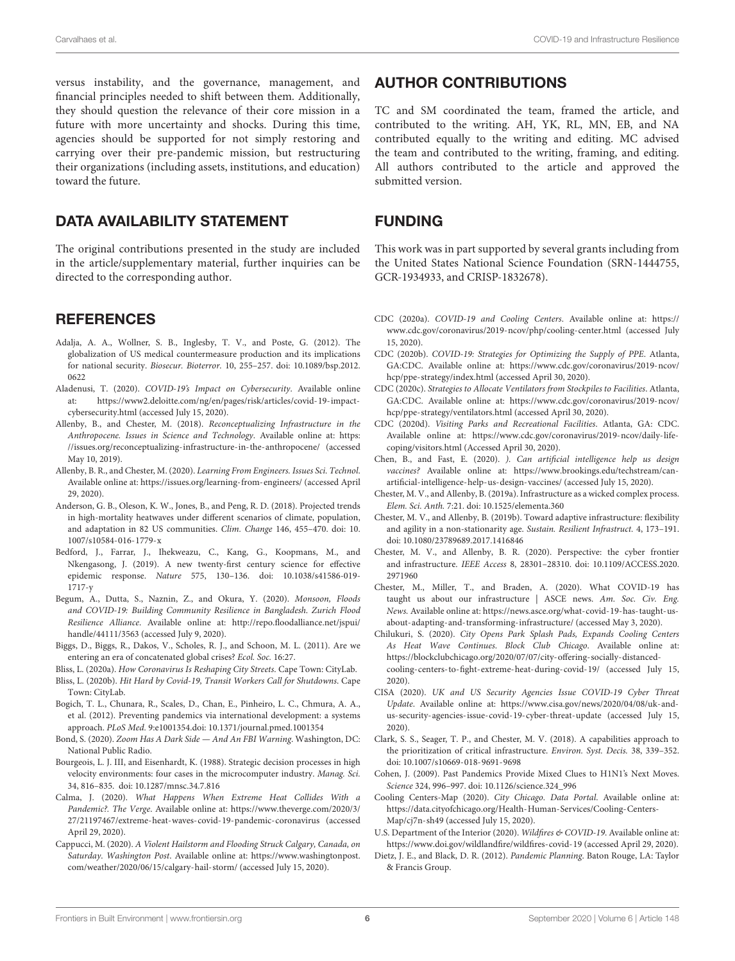versus instability, and the governance, management, and financial principles needed to shift between them. Additionally, they should question the relevance of their core mission in a future with more uncertainty and shocks. During this time, agencies should be supported for not simply restoring and carrying over their pre-pandemic mission, but restructuring their organizations (including assets, institutions, and education) toward the future.

## DATA AVAILABILITY STATEMENT

The original contributions presented in the study are included in the article/supplementary material, further inquiries can be directed to the corresponding author.

## **REFERENCES**

- <span id="page-5-3"></span>Adalja, A. A., Wollner, S. B., Inglesby, T. V., and Poste, G. (2012). The globalization of US medical countermeasure production and its implications for national security. Biosecur. Bioterror. 10, 255–257. [doi: 10.1089/bsp.2012.](https://doi.org/10.1089/bsp.2012.0622) [0622](https://doi.org/10.1089/bsp.2012.0622)
- <span id="page-5-27"></span>Aladenusi, T. (2020). COVID-19's Impact on Cybersecurity. Available online at: [https://www2.deloitte.com/ng/en/pages/risk/articles/covid-19-impact](https://www2.deloitte.com/ng/en/pages/risk/articles/covid-19-impact-cybersecurity.html)[cybersecurity.html](https://www2.deloitte.com/ng/en/pages/risk/articles/covid-19-impact-cybersecurity.html) (accessed July 15, 2020).
- <span id="page-5-18"></span>Allenby, B., and Chester, M. (2018). Reconceptualizing Infrastructure in the Anthropocene. Issues in Science and Technology. Available online at: [https:](https://issues.org/reconceptualizing-infrastructure-in-the-anthropocene/) [//issues.org/reconceptualizing-infrastructure-in-the-anthropocene/](https://issues.org/reconceptualizing-infrastructure-in-the-anthropocene/) (accessed May 10, 2019).
- <span id="page-5-20"></span>Allenby, B. R., and Chester, M. (2020). Learning From Engineers. Issues Sci. Technol. Available online at: <https://issues.org/learning-from-engineers/> (accessed April 29, 2020).
- <span id="page-5-10"></span>Anderson, G. B., Oleson, K. W., Jones, B., and Peng, R. D. (2018). Projected trends in high-mortality heatwaves under different scenarios of climate, population, and adaptation in 82 US communities. Clim. Change 146, 455–470. [doi: 10.](https://doi.org/10.1007/s10584-016-1779-x) [1007/s10584-016-1779-x](https://doi.org/10.1007/s10584-016-1779-x)
- <span id="page-5-5"></span>Bedford, J., Farrar, J., Ihekweazu, C., Kang, G., Koopmans, M., and Nkengasong, J. (2019). A new twenty-first century science for effective epidemic response. Nature 575, 130–136. [doi: 10.1038/s41586-019-](https://doi.org/10.1038/s41586-019-1717-y) [1717-y](https://doi.org/10.1038/s41586-019-1717-y)
- <span id="page-5-9"></span>Begum, A., Dutta, S., Naznin, Z., and Okura, Y. (2020). Monsoon, Floods and COVID-19: Building Community Resilience in Bangladesh. Zurich Flood Resilience Alliance. Available online at: [http://repo.floodalliance.net/jspui/](http://repo.floodalliance.net/jspui/handle/44111/3563) [handle/44111/3563](http://repo.floodalliance.net/jspui/handle/44111/3563) (accessed July 9, 2020).
- <span id="page-5-8"></span>Biggs, D., Biggs, R., Dakos, V., Scholes, R. J., and Schoon, M. L. (2011). Are we entering an era of concatenated global crises? Ecol. Soc. 16:27.
- <span id="page-5-0"></span>Bliss, L. (2020a). How Coronavirus Is Reshaping City Streets. Cape Town: CityLab.
- <span id="page-5-22"></span>Bliss, L. (2020b). Hit Hard by Covid-19, Transit Workers Call for Shutdowns. Cape Town: CityLab.
- <span id="page-5-4"></span>Bogich, T. L., Chunara, R., Scales, D., Chan, E., Pinheiro, L. C., Chmura, A. A., et al. (2012). Preventing pandemics via international development: a systems approach. PLoS Med. 9:e1001354[.doi: 10.1371/journal.pmed.1001354](https://doi.org/10.1371/journal.pmed.1001354)
- <span id="page-5-24"></span>Bond, S. (2020). Zoom Has A Dark Side — And An FBI Warning. Washington, DC: National Public Radio.
- <span id="page-5-23"></span>Bourgeois, L. J. III, and Eisenhardt, K. (1988). Strategic decision processes in high velocity environments: four cases in the microcomputer industry. Manag. Sci. 34, 816–835. [doi: 10.1287/mnsc.34.7.816](https://doi.org/10.1287/mnsc.34.7.816)
- <span id="page-5-11"></span>Calma, J. (2020). What Happens When Extreme Heat Collides With a Pandemic?. The Verge. Available online at: [https://www.theverge.com/2020/3/](https://www.theverge.com/2020/3/27/21197467/extreme-heat-waves-covid-19-pandemic-coronavirus) [27/21197467/extreme-heat-waves-covid-19-pandemic-coronavirus](https://www.theverge.com/2020/3/27/21197467/extreme-heat-waves-covid-19-pandemic-coronavirus) (accessed April 29, 2020).
- <span id="page-5-13"></span>Cappucci, M. (2020). A Violent Hailstorm and Flooding Struck Calgary, Canada, on Saturday. Washington Post. Available online at: [https://www.washingtonpost.](https://www.washingtonpost.com/weather/2020/06/15/calgary-hail-storm/) [com/weather/2020/06/15/calgary-hail-storm/](https://www.washingtonpost.com/weather/2020/06/15/calgary-hail-storm/) (accessed July 15, 2020).

#### AUTHOR CONTRIBUTIONS

TC and SM coordinated the team, framed the article, and contributed to the writing. AH, YK, RL, MN, EB, and NA contributed equally to the writing and editing. MC advised the team and contributed to the writing, framing, and editing. All authors contributed to the article and approved the submitted version.

## FUNDING

This work was in part supported by several grants including from the United States National Science Foundation (SRN-1444755, GCR-1934933, and CRISP-1832678).

- <span id="page-5-17"></span>CDC (2020a). COVID-19 and Cooling Centers. Available online at: [https://](https://www.cdc.gov/coronavirus/2019-ncov/php/cooling-center.html) [www.cdc.gov/coronavirus/2019-ncov/php/cooling-center.html](https://www.cdc.gov/coronavirus/2019-ncov/php/cooling-center.html) (accessed July 15, 2020).
- <span id="page-5-21"></span>CDC (2020b). COVID-19: Strategies for Optimizing the Supply of PPE. Atlanta, GA:CDC. Available online at: [https://www.cdc.gov/coronavirus/2019-ncov/](https://www.cdc.gov/coronavirus/2019-ncov/hcp/ppe-strategy/index.html) [hcp/ppe-strategy/index.html](https://www.cdc.gov/coronavirus/2019-ncov/hcp/ppe-strategy/index.html) (accessed April 30, 2020).
- CDC (2020c). Strategies to Allocate Ventilators from Stockpiles to Facilities. Atlanta, GA:CDC. Available online at: [https://www.cdc.gov/coronavirus/2019-ncov/](https://www.cdc.gov/coronavirus/2019-ncov/hcp/ppe-strategy/ventilators.html) [hcp/ppe-strategy/ventilators.html](https://www.cdc.gov/coronavirus/2019-ncov/hcp/ppe-strategy/ventilators.html) (accessed April 30, 2020).
- CDC (2020d). Visiting Parks and Recreational Facilities. Atlanta, GA: CDC. Available online at: [https://www.cdc.gov/coronavirus/2019-ncov/daily-life](https://www.cdc.gov/coronavirus/2019-ncov/daily-life-coping/visitors.html)[coping/visitors.html](https://www.cdc.gov/coronavirus/2019-ncov/daily-life-coping/visitors.html) (Accessed April 30, 2020).
- <span id="page-5-26"></span>Chen, B., and Fast, E. (2020). ). Can artificial intelligence help us design vaccines? Available online at: [https://www.brookings.edu/techstream/can](https://www.brookings.edu/techstream/can-artificial-intelligence-help-us-design-vaccines/)[artificial-intelligence-help-us-design-vaccines/](https://www.brookings.edu/techstream/can-artificial-intelligence-help-us-design-vaccines/) (accessed July 15, 2020).
- <span id="page-5-7"></span>Chester, M. V., and Allenby, B. (2019a). Infrastructure as a wicked complex process. Elem. Sci. Anth. 7:21. [doi: 10.1525/elementa.360](https://doi.org/10.1525/elementa.360)
- <span id="page-5-25"></span>Chester, M. V., and Allenby, B. (2019b). Toward adaptive infrastructure: flexibility and agility in a non-stationarity age. Sustain. Resilient Infrastruct. 4, 173–191. [doi: 10.1080/23789689.2017.1416846](https://doi.org/10.1080/23789689.2017.1416846)
- <span id="page-5-14"></span>Chester, M. V., and Allenby, B. R. (2020). Perspective: the cyber frontier and infrastructure. IEEE Access 8, 28301–28310. [doi: 10.1109/ACCESS.2020.](https://doi.org/10.1109/ACCESS.2020.2971960) [2971960](https://doi.org/10.1109/ACCESS.2020.2971960)
- <span id="page-5-6"></span>Chester, M., Miller, T., and Braden, A. (2020). What COVID-19 has taught us about our infrastructure | ASCE news. Am. Soc. Civ. Eng. News. Available online at: [https://news.asce.org/what-covid-19-has-taught-us](https://news.asce.org/what-covid-19-has-taught-us-about-adapting-and-transforming-infrastructure/)[about-adapting-and-transforming-infrastructure/](https://news.asce.org/what-covid-19-has-taught-us-about-adapting-and-transforming-infrastructure/) (accessed May 3, 2020).
- <span id="page-5-15"></span>Chilukuri, S. (2020). City Opens Park Splash Pads, Expands Cooling Centers As Heat Wave Continues. Block Club Chicago. Available online at: [https://blockclubchicago.org/2020/07/07/city-offering-socially-distanced](https://blockclubchicago.org/2020/07/07/city-offering-socially-distanced-cooling-centers-to-fight-extreme-heat-during-covid-19/)[cooling-centers-to-fight-extreme-heat-during-covid-19/](https://blockclubchicago.org/2020/07/07/city-offering-socially-distanced-cooling-centers-to-fight-extreme-heat-during-covid-19/) (accessed July 15, 2020).
- <span id="page-5-28"></span>CISA (2020). UK and US Security Agencies Issue COVID-19 Cyber Threat Update. Available online at: [https://www.cisa.gov/news/2020/04/08/uk-and](https://www.cisa.gov/news/2020/04/08/uk-and-us-security-agencies-issue-covid-19-cyber-threat-update)[us-security-agencies-issue-covid-19-cyber-threat-update](https://www.cisa.gov/news/2020/04/08/uk-and-us-security-agencies-issue-covid-19-cyber-threat-update) (accessed July 15, 2020).
- <span id="page-5-19"></span>Clark, S. S., Seager, T. P., and Chester, M. V. (2018). A capabilities approach to the prioritization of critical infrastructure. Environ. Syst. Decis. 38, 339–352. [doi: 10.1007/s10669-018-9691-9698](https://doi.org/10.1007/s10669-018-9691-9698)
- <span id="page-5-1"></span>Cohen, J. (2009). Past Pandemics Provide Mixed Clues to H1N1's Next Moves. Science 324, 996–997. [doi: 10.1126/science.324\\_996](https://doi.org/10.1126/science.324_996)
- <span id="page-5-16"></span>Cooling Centers-Map (2020). City Chicago. Data Portal. Available online at: [https://data.cityofchicago.org/Health-Human-Services/Cooling-Centers-](https://data.cityofchicago.org/Health-Human-Services/Cooling-Centers-Map/cj7n-sh49)[Map/cj7n-sh49](https://data.cityofchicago.org/Health-Human-Services/Cooling-Centers-Map/cj7n-sh49) (accessed July 15, 2020).
- <span id="page-5-12"></span>U.S. Department of the Interior (2020). Wildfires & COVID-19. Available online at: <https://www.doi.gov/wildlandfire/wildfires-covid-19> (accessed April 29, 2020).
- <span id="page-5-2"></span>Dietz, J. E., and Black, D. R. (2012). Pandemic Planning. Baton Rouge, LA: Taylor & Francis Group.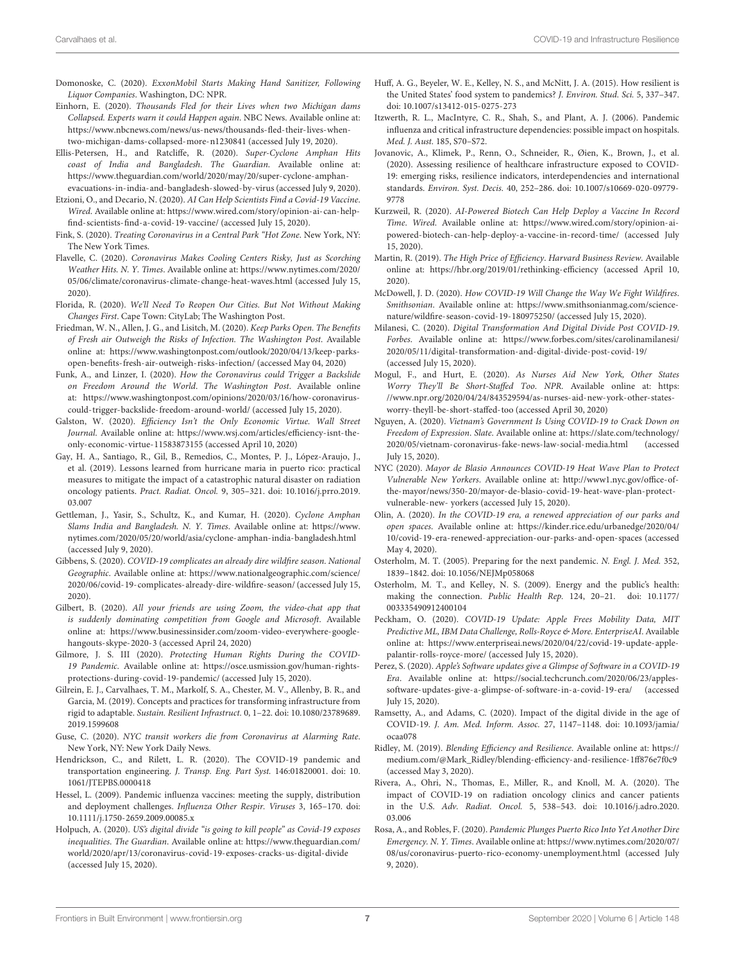- <span id="page-6-23"></span>Domonoske, C. (2020). ExxonMobil Starts Making Hand Sanitizer, Following Liquor Companies. Washington, DC: NPR.
- <span id="page-6-11"></span>Einhorn, E. (2020). Thousands Fled for their Lives when two Michigan dams Collapsed. Experts warn it could Happen again. NBC News. Available online at: [https://www.nbcnews.com/news/us-news/thousands-fled-their-lives-when](https://www.nbcnews.com/news/us-news/thousands-fled-their-lives-when-two-michigan-dams-collapsed-more-n1230841)[two-michigan-dams-collapsed-more-n1230841](https://www.nbcnews.com/news/us-news/thousands-fled-their-lives-when-two-michigan-dams-collapsed-more-n1230841) (accessed July 19, 2020).
- <span id="page-6-9"></span>Ellis-Petersen, H., and Ratcliffe, R. (2020). Super-Cyclone Amphan Hits coast of India and Bangladesh. The Guardian. Available online at: [https://www.theguardian.com/world/2020/may/20/super-cyclone-amphan](https://www.theguardian.com/world/2020/may/20/super-cyclone-amphan-evacuations-in-india-and-bangladesh-slowed-by-virus)[evacuations-in-india-and-bangladesh-slowed-by-virus](https://www.theguardian.com/world/2020/may/20/super-cyclone-amphan-evacuations-in-india-and-bangladesh-slowed-by-virus) (accessed July 9, 2020).
- <span id="page-6-30"></span>Etzioni, O., and Decario, N. (2020). AI Can Help Scientists Find a Covid-19 Vaccine. Wired. Available online at: [https://www.wired.com/story/opinion-ai-can-help-](https://www.wired.com/story/opinion-ai-can-help-find-scientists-find-a-covid-19-vaccine/)
- <span id="page-6-20"></span>[find-scientists-find-a-covid-19-vaccine/](https://www.wired.com/story/opinion-ai-can-help-find-scientists-find-a-covid-19-vaccine/) (accessed July 15, 2020). Fink, S. (2020). Treating Coronavirus in a Central Park "Hot Zone. New York, NY: The New York Times.
- <span id="page-6-15"></span>Flavelle, C. (2020). Coronavirus Makes Cooling Centers Risky, Just as Scorching Weather Hits. N. Y. Times. Available online at: [https://www.nytimes.com/2020/](https://www.nytimes.com/2020/05/06/climate/coronavirus-climate-change-heat-waves.html) [05/06/climate/coronavirus-climate-change-heat-waves.html](https://www.nytimes.com/2020/05/06/climate/coronavirus-climate-change-heat-waves.html) (accessed July 15, 2020).
- <span id="page-6-0"></span>Florida, R. (2020). We'll Need To Reopen Our Cities. But Not Without Making Changes First. Cape Town: CityLab; The Washington Post.
- <span id="page-6-21"></span>Friedman, W. N., Allen, J. G., and Lisitch, M. (2020). Keep Parks Open. The Benefits of Fresh air Outweigh the Risks of Infection. The Washington Post. Available online at: [https://www.washingtonpost.com/outlook/2020/04/13/keep-parks](https://www.washingtonpost.com/outlook/2020/04/13/keep-parks-open-benefits-fresh-air-outweigh-risks-infection/)[open-benefits-fresh-air-outweigh-risks-infection/](https://www.washingtonpost.com/outlook/2020/04/13/keep-parks-open-benefits-fresh-air-outweigh-risks-infection/) (accessed May 04, 2020)
- <span id="page-6-36"></span>Funk, A., and Linzer, I. (2020). How the Coronavirus could Trigger a Backslide on Freedom Around the World. The Washington Post. Available online at: [https://www.washingtonpost.com/opinions/2020/03/16/how-coronavirus](https://www.washingtonpost.com/opinions/2020/03/16/how-coronavirus-could-trigger-backslide-freedom-around-world/)[could-trigger-backslide-freedom-around-world/](https://www.washingtonpost.com/opinions/2020/03/16/how-coronavirus-could-trigger-backslide-freedom-around-world/) (accessed July 15, 2020).
- <span id="page-6-26"></span>Galston, W. (2020). Efficiency Isn't the Only Economic Virtue. Wall Street Journal. Available online at: [https://www.wsj.com/articles/efficiency-isnt-the](https://www.wsj.com/articles/efficiency-isnt-the-only-economic-virtue-11583873155)[only-economic-virtue-11583873155](https://www.wsj.com/articles/efficiency-isnt-the-only-economic-virtue-11583873155) (accessed April 10, 2020)
- <span id="page-6-18"></span>Gay, H. A., Santiago, R., Gil, B., Remedios, C., Montes, P. J., López-Araujo, J., et al. (2019). Lessons learned from hurricane maria in puerto rico: practical measures to mitigate the impact of a catastrophic natural disaster on radiation oncology patients. Pract. Radiat. Oncol. 9, 305–321. [doi: 10.1016/j.prro.2019.](https://doi.org/10.1016/j.prro.2019.03.007) [03.007](https://doi.org/10.1016/j.prro.2019.03.007)
- <span id="page-6-10"></span>Gettleman, J., Yasir, S., Schultz, K., and Kumar, H. (2020). Cyclone Amphan Slams India and Bangladesh. N. Y. Times. Available online at: [https://www.](https://www.nytimes.com/2020/05/20/world/asia/cyclone-amphan-india-bangladesh.html) [nytimes.com/2020/05/20/world/asia/cyclone-amphan-india-bangladesh.html](https://www.nytimes.com/2020/05/20/world/asia/cyclone-amphan-india-bangladesh.html) (accessed July 9, 2020).
- <span id="page-6-13"></span>Gibbens, S. (2020). COVID-19 complicates an already dire wildfire season. National Geographic. Available online at: [https://www.nationalgeographic.com/science/](https://www.nationalgeographic.com/science/2020/06/covid-19-complicates-already-dire-wildfire-season/) [2020/06/covid-19-complicates-already-dire-wildfire-season/](https://www.nationalgeographic.com/science/2020/06/covid-19-complicates-already-dire-wildfire-season/) (accessed July 15, 2020).
- <span id="page-6-28"></span>Gilbert, B. (2020). All your friends are using Zoom, the video-chat app that is suddenly dominating competition from Google and Microsoft. Available online at: [https://www.businessinsider.com/zoom-video-everywhere-google](https://www.businessinsider.com/zoom-video-everywhere-google-hangouts-skype-2020-3)[hangouts-skype-2020-3](https://www.businessinsider.com/zoom-video-everywhere-google-hangouts-skype-2020-3) (accessed April 24, 2020)
- <span id="page-6-37"></span>Gilmore, J. S. III (2020). Protecting Human Rights During the COVID-19 Pandemic. Available online at: [https://osce.usmission.gov/human-rights](https://osce.usmission.gov/human-rights-protections-during-covid-19-pandemic/)[protections-during-covid-19-pandemic/](https://osce.usmission.gov/human-rights-protections-during-covid-19-pandemic/) (accessed July 15, 2020).
- <span id="page-6-17"></span>Gilrein, E. J., Carvalhaes, T. M., Markolf, S. A., Chester, M. V., Allenby, B. R., and Garcia, M. (2019). Concepts and practices for transforming infrastructure from rigid to adaptable. Sustain. Resilient Infrastruct. 0, 1–22. [doi: 10.1080/23789689.](https://doi.org/10.1080/23789689.2019.1599608) [2019.1599608](https://doi.org/10.1080/23789689.2019.1599608)
- <span id="page-6-27"></span>Guse, C. (2020). NYC transit workers die from Coronavirus at Alarming Rate. New York, NY: New York Daily News.
- <span id="page-6-7"></span>Hendrickson, C., and Rilett, L. R. (2020). The COVID-19 pandemic and transportation engineering. J. Transp. Eng. Part Syst. 146:01820001. [doi: 10.](https://doi.org/10.1061/JTEPBS.0000418) [1061/JTEPBS.0000418](https://doi.org/10.1061/JTEPBS.0000418)
- <span id="page-6-1"></span>Hessel, L. (2009). Pandemic influenza vaccines: meeting the supply, distribution and deployment challenges. Influenza Other Respir. Viruses 3, 165–170. [doi:](https://doi.org/10.1111/j.1750-2659.2009.00085.x) [10.1111/j.1750-2659.2009.00085.x](https://doi.org/10.1111/j.1750-2659.2009.00085.x)
- <span id="page-6-33"></span>Holpuch, A. (2020). US's digital divide "is going to kill people" as Covid-19 exposes inequalities. The Guardian. Available online at: [https://www.theguardian.com/](https://www.theguardian.com/world/2020/apr/13/coronavirus-covid-19-exposes-cracks-us-digital-divide) [world/2020/apr/13/coronavirus-covid-19-exposes-cracks-us-digital-divide](https://www.theguardian.com/world/2020/apr/13/coronavirus-covid-19-exposes-cracks-us-digital-divide) (accessed July 15, 2020).
- <span id="page-6-6"></span>Huff, A. G., Beyeler, W. E., Kelley, N. S., and McNitt, J. A. (2015). How resilient is the United States' food system to pandemics? J. Environ. Stud. Sci. 5, 337–347. [doi: 10.1007/s13412-015-0275-273](https://doi.org/10.1007/s13412-015-0275-273)
- <span id="page-6-5"></span>Itzwerth, R. L., MacIntyre, C. R., Shah, S., and Plant, A. J. (2006). Pandemic influenza and critical infrastructure dependencies: possible impact on hospitals. Med. J. Aust. 185, S70–S72.
- <span id="page-6-2"></span>Jovanovic, A., Klimek, P., Renn, O., Schneider, R., Øien, K., Brown, J., et al. (2020). Assessing resilience of healthcare infrastructure exposed to COVID-19: emerging risks, resilience indicators, interdependencies and international standards. Environ. Syst. Decis. 40, 252–286. [doi: 10.1007/s10669-020-09779-](https://doi.org/10.1007/s10669-020-09779-9778) [9778](https://doi.org/10.1007/s10669-020-09779-9778)
- <span id="page-6-31"></span>Kurzweil, R. (2020). AI-Powered Biotech Can Help Deploy a Vaccine In Record Time. Wired. Available online at: [https://www.wired.com/story/opinion-ai](https://www.wired.com/story/opinion-ai-powered-biotech-can-help-deploy-a-vaccine-in-record-time/)[powered-biotech-can-help-deploy-a-vaccine-in-record-time/](https://www.wired.com/story/opinion-ai-powered-biotech-can-help-deploy-a-vaccine-in-record-time/) (accessed July 15, 2020).
- <span id="page-6-24"></span>Martin, R. (2019). The High Price of Efficiency. Harvard Business Review. Available online at: <https://hbr.org/2019/01/rethinking-efficiency> (accessed April 10, 2020).
- <span id="page-6-14"></span>McDowell, J. D. (2020). How COVID-19 Will Change the Way We Fight Wildfires. Smithsonian. Available online at: [https://www.smithsonianmag.com/science](https://www.smithsonianmag.com/science-nature/wildfire-season-covid-19-180975250/)[nature/wildfire-season-covid-19-180975250/](https://www.smithsonianmag.com/science-nature/wildfire-season-covid-19-180975250/) (accessed July 15, 2020).
- <span id="page-6-34"></span>Milanesi, C. (2020). Digital Transformation And Digital Divide Post COVID-19. Forbes. Available online at: [https://www.forbes.com/sites/carolinamilanesi/](https://www.forbes.com/sites/carolinamilanesi/2020/05/11/digital-transformation-and-digital-divide-post-covid-19/) [2020/05/11/digital-transformation-and-digital-divide-post-covid-19/](https://www.forbes.com/sites/carolinamilanesi/2020/05/11/digital-transformation-and-digital-divide-post-covid-19/) (accessed July 15, 2020).
- <span id="page-6-12"></span>Mogul, F., and Hurt, E. (2020). As Nurses Aid New York, Other States Worry They'll Be Short-Staffed Too. NPR. Available online at: [https:](https://www.npr.org/2020/04/24/843529594/as-nurses-aid-new-york-other-states-worry-theyll-be-short-staffed-too) [//www.npr.org/2020/04/24/843529594/as-nurses-aid-new-york-other-states](https://www.npr.org/2020/04/24/843529594/as-nurses-aid-new-york-other-states-worry-theyll-be-short-staffed-too)[worry-theyll-be-short-staffed-too](https://www.npr.org/2020/04/24/843529594/as-nurses-aid-new-york-other-states-worry-theyll-be-short-staffed-too) (accessed April 30, 2020)
- <span id="page-6-38"></span>Nguyen, A. (2020). Vietnam's Government Is Using COVID-19 to Crack Down on Freedom of Expression. Slate. Available online at: [https://slate.com/technology/](https://slate.com/technology/2020/05/vietnam-coronavirus-fake-news-law-social-media.html) [2020/05/vietnam-coronavirus-fake-news-law-social-media.html](https://slate.com/technology/2020/05/vietnam-coronavirus-fake-news-law-social-media.html) (accessed July 15, 2020).
- <span id="page-6-16"></span>NYC (2020). Mayor de Blasio Announces COVID-19 Heat Wave Plan to Protect Vulnerable New Yorkers. Available online at: [http://www1.nyc.gov/office-of](http://www1.nyc.gov/office-of-the-mayor/news/350-20/mayor-de-blasio-covid-19-heat-wave-plan-protect-vulnerable-new-)[the-mayor/news/350-20/mayor-de-blasio-covid-19-heat-wave-plan-protect](http://www1.nyc.gov/office-of-the-mayor/news/350-20/mayor-de-blasio-covid-19-heat-wave-plan-protect-vulnerable-new-)[vulnerable-new-](http://www1.nyc.gov/office-of-the-mayor/news/350-20/mayor-de-blasio-covid-19-heat-wave-plan-protect-vulnerable-new-) yorkers (accessed July 15, 2020).
- <span id="page-6-22"></span>Olin, A. (2020). In the COVID-19 era, a renewed appreciation of our parks and open spaces. Available online at: [https://kinder.rice.edu/urbanedge/2020/04/](https://kinder.rice.edu/urbanedge/2020/04/10/covid-19-era-renewed-appreciation-our-parks-and-open-spaces) [10/covid-19-era-renewed-appreciation-our-parks-and-open-spaces](https://kinder.rice.edu/urbanedge/2020/04/10/covid-19-era-renewed-appreciation-our-parks-and-open-spaces) (accessed May 4, 2020).
- <span id="page-6-3"></span>Osterholm, M. T. (2005). Preparing for the next pandemic. N. Engl. J. Med. 352, 1839–1842. [doi: 10.1056/NEJMp058068](https://doi.org/10.1056/NEJMp058068)
- <span id="page-6-4"></span>Osterholm, M. T., and Kelley, N. S. (2009). Energy and the public's health: making the connection. Public Health Rep. 124, 20–21. [doi: 10.1177/](https://doi.org/10.1177/003335490912400104) [003335490912400104](https://doi.org/10.1177/003335490912400104)
- <span id="page-6-32"></span>Peckham, O. (2020). COVID-19 Update: Apple Frees Mobility Data, MIT Predictive ML, IBM Data Challenge, Rolls-Royce & More. EnterpriseAI. Available online at: [https://www.enterpriseai.news/2020/04/22/covid-19-update-apple](https://www.enterpriseai.news/2020/04/22/covid-19-update-apple-palantir-rolls-royce-more/)[palantir-rolls-royce-more/](https://www.enterpriseai.news/2020/04/22/covid-19-update-apple-palantir-rolls-royce-more/) (accessed July 15, 2020).
- <span id="page-6-29"></span>Perez, S. (2020). Apple's Software updates give a Glimpse of Software in a COVID-19 Era. Available online at: [https://social.techcrunch.com/2020/06/23/apples](https://social.techcrunch.com/2020/06/23/apples-software-updates-give-a-glimpse-of-software-in-a-covid-19-era/)[software-updates-give-a-glimpse-of-software-in-a-covid-19-era/](https://social.techcrunch.com/2020/06/23/apples-software-updates-give-a-glimpse-of-software-in-a-covid-19-era/) (accessed July 15, 2020).
- <span id="page-6-35"></span>Ramsetty, A., and Adams, C. (2020). Impact of the digital divide in the age of COVID-19. J. Am. Med. Inform. Assoc. 27, 1147–1148. [doi: 10.1093/jamia/](https://doi.org/10.1093/jamia/ocaa078) [ocaa078](https://doi.org/10.1093/jamia/ocaa078)
- <span id="page-6-25"></span>Ridley, M. (2019). Blending Efficiency and Resilience. Available online at: [https://](https://medium.com/@Mark_Ridley/blending-efficiency-and-resilience-1ff876e7f0c9) [medium.com/@Mark\\_Ridley/blending-efficiency-and-resilience-1ff876e7f0c9](https://medium.com/@Mark_Ridley/blending-efficiency-and-resilience-1ff876e7f0c9) (accessed May 3, 2020).
- <span id="page-6-19"></span>Rivera, A., Ohri, N., Thomas, E., Miller, R., and Knoll, M. A. (2020). The impact of COVID-19 on radiation oncology clinics and cancer patients in the U.S. Adv. Radiat. Oncol. 5, 538–543. [doi: 10.1016/j.adro.2020.](https://doi.org/10.1016/j.adro.2020.03.006) [03.006](https://doi.org/10.1016/j.adro.2020.03.006)
- <span id="page-6-8"></span>Rosa, A., and Robles, F. (2020). Pandemic Plunges Puerto Rico Into Yet Another Dire Emergency. N. Y. Times. Available online at: [https://www.nytimes.com/2020/07/](https://www.nytimes.com/2020/07/08/us/coronavirus-puerto-rico-economy-unemployment.html) [08/us/coronavirus-puerto-rico-economy-unemployment.html](https://www.nytimes.com/2020/07/08/us/coronavirus-puerto-rico-economy-unemployment.html) (accessed July 9, 2020).